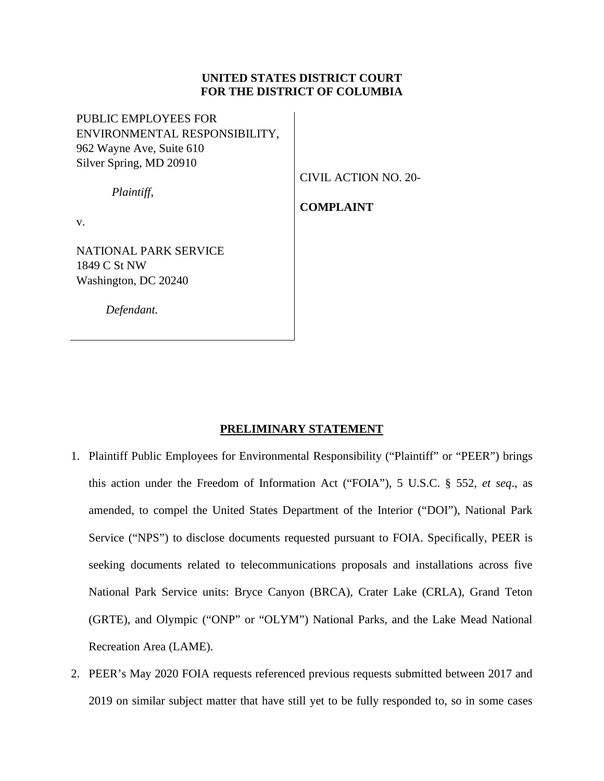# **UNITED STATES DISTRICT COURT FOR THE DISTRICT OF COLUMBIA**

PUBLIC EMPLOYEES FOR ENVIRONMENTAL RESPONSIBILITY, 962 Wayne Ave, Suite 610 Silver Spring, MD 20910

CIVIL ACTION NO. 20-

*Plaintiff*,

# **COMPLAINT**

v.

NATIONAL PARK SERVICE 1849 C St NW Washington, DC 20240

 *Defendant.*

# **PRELIMINARY STATEMENT**

- 1. Plaintiff Public Employees for Environmental Responsibility ("Plaintiff" or "PEER") brings this action under the Freedom of Information Act ("FOIA"), 5 U.S.C. § 552, *et seq*., as amended, to compel the United States Department of the Interior ("DOI"), National Park Service ("NPS") to disclose documents requested pursuant to FOIA. Specifically, PEER is seeking documents related to telecommunications proposals and installations across five National Park Service units: Bryce Canyon (BRCA), Crater Lake (CRLA), Grand Teton (GRTE), and Olympic ("ONP" or "OLYM") National Parks, and the Lake Mead National Recreation Area (LAME).
- 2. PEER's May 2020 FOIA requests referenced previous requests submitted between 2017 and 2019 on similar subject matter that have still yet to be fully responded to, so in some cases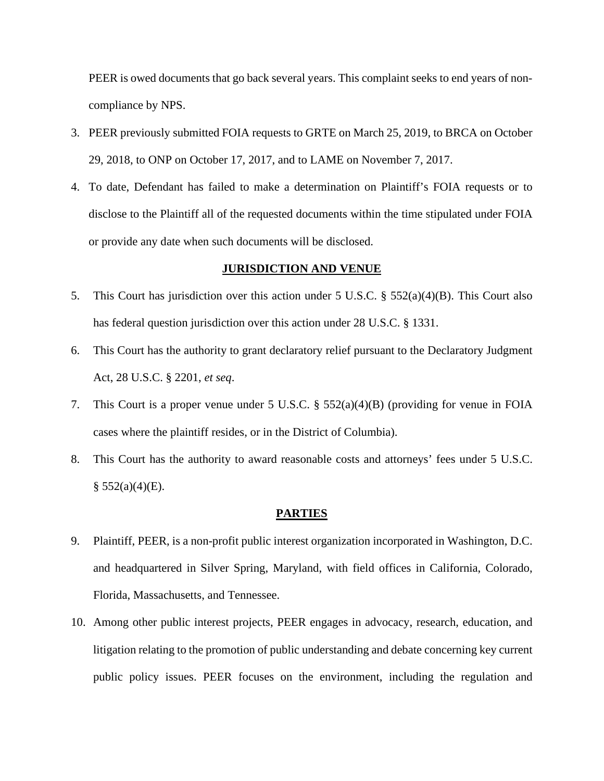PEER is owed documents that go back several years. This complaint seeks to end years of noncompliance by NPS.

- 3. PEER previously submitted FOIA requests to GRTE on March 25, 2019, to BRCA on October 29, 2018, to ONP on October 17, 2017, and to LAME on November 7, 2017.
- 4. To date, Defendant has failed to make a determination on Plaintiff's FOIA requests or to disclose to the Plaintiff all of the requested documents within the time stipulated under FOIA or provide any date when such documents will be disclosed.

## **JURISDICTION AND VENUE**

- 5. This Court has jurisdiction over this action under 5 U.S.C. § 552(a)(4)(B). This Court also has federal question jurisdiction over this action under 28 U.S.C. § 1331.
- 6. This Court has the authority to grant declaratory relief pursuant to the Declaratory Judgment Act, 28 U.S.C. § 2201, *et seq*.
- 7. This Court is a proper venue under 5 U.S.C. § 552(a)(4)(B) (providing for venue in FOIA cases where the plaintiff resides, or in the District of Columbia).
- 8. This Court has the authority to award reasonable costs and attorneys' fees under 5 U.S.C.  $§ 552(a)(4)(E).$

### **PARTIES**

- 9. Plaintiff, PEER, is a non-profit public interest organization incorporated in Washington, D.C. and headquartered in Silver Spring, Maryland, with field offices in California, Colorado, Florida, Massachusetts, and Tennessee.
- 10. Among other public interest projects, PEER engages in advocacy, research, education, and litigation relating to the promotion of public understanding and debate concerning key current public policy issues. PEER focuses on the environment, including the regulation and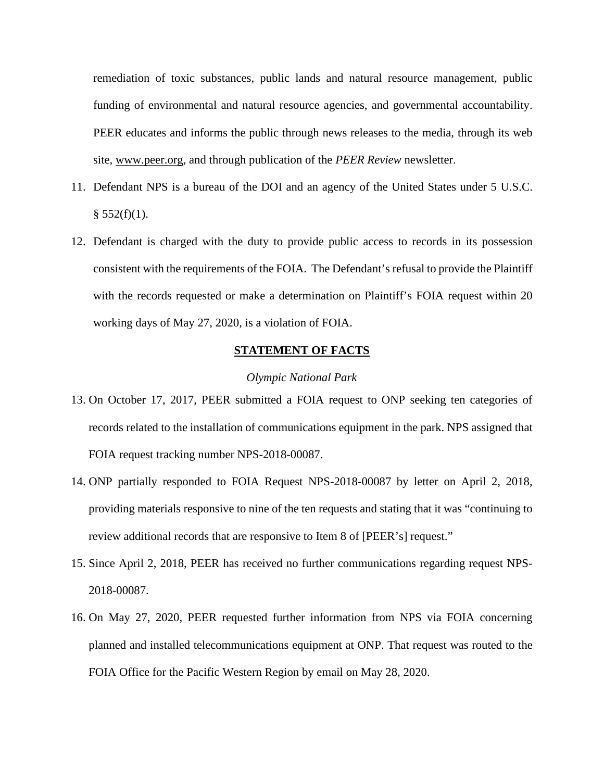remediation of toxic substances, public lands and natural resource management, public funding of environmental and natural resource agencies, and governmental accountability. PEER educates and informs the public through news releases to the media, through its web site, [www.peer.org,](http://www.peer.org/) and through publication of the *PEER Review* newsletter.

- 11. Defendant NPS is a bureau of the DOI and an agency of the United States under 5 U.S.C.  $§ 552(f)(1).$
- 12. Defendant is charged with the duty to provide public access to records in its possession consistent with the requirements of the FOIA. The Defendant's refusal to provide the Plaintiff with the records requested or make a determination on Plaintiff's FOIA request within 20 working days of May 27, 2020, is a violation of FOIA.

# **STATEMENT OF FACTS**

### *Olympic National Park*

- 13. On October 17, 2017, PEER submitted a FOIA request to ONP seeking ten categories of records related to the installation of communications equipment in the park. NPS assigned that FOIA request tracking number NPS-2018-00087.
- 14. ONP partially responded to FOIA Request NPS-2018-00087 by letter on April 2, 2018, providing materials responsive to nine of the ten requests and stating that it was "continuing to review additional records that are responsive to Item 8 of [PEER's] request."
- 15. Since April 2, 2018, PEER has received no further communications regarding request NPS-2018-00087.
- 16. On May 27, 2020, PEER requested further information from NPS via FOIA concerning planned and installed telecommunications equipment at ONP. That request was routed to the FOIA Office for the Pacific Western Region by email on May 28, 2020.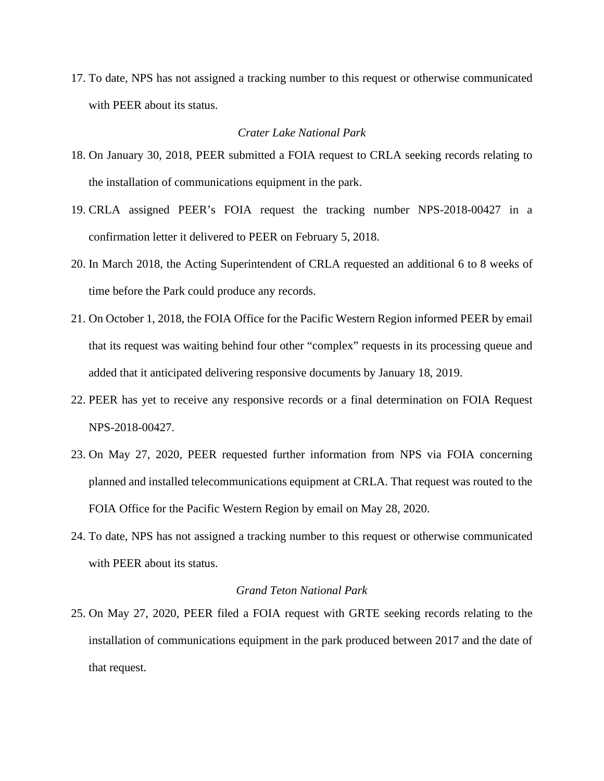17. To date, NPS has not assigned a tracking number to this request or otherwise communicated with PEER about its status.

# *Crater Lake National Park*

- 18. On January 30, 2018, PEER submitted a FOIA request to CRLA seeking records relating to the installation of communications equipment in the park.
- 19. CRLA assigned PEER's FOIA request the tracking number NPS-2018-00427 in a confirmation letter it delivered to PEER on February 5, 2018.
- 20. In March 2018, the Acting Superintendent of CRLA requested an additional 6 to 8 weeks of time before the Park could produce any records.
- 21. On October 1, 2018, the FOIA Office for the Pacific Western Region informed PEER by email that its request was waiting behind four other "complex" requests in its processing queue and added that it anticipated delivering responsive documents by January 18, 2019.
- 22. PEER has yet to receive any responsive records or a final determination on FOIA Request NPS-2018-00427.
- 23. On May 27, 2020, PEER requested further information from NPS via FOIA concerning planned and installed telecommunications equipment at CRLA. That request was routed to the FOIA Office for the Pacific Western Region by email on May 28, 2020.
- 24. To date, NPS has not assigned a tracking number to this request or otherwise communicated with PEER about its status.

# *Grand Teton National Park*

25. On May 27, 2020, PEER filed a FOIA request with GRTE seeking records relating to the installation of communications equipment in the park produced between 2017 and the date of that request.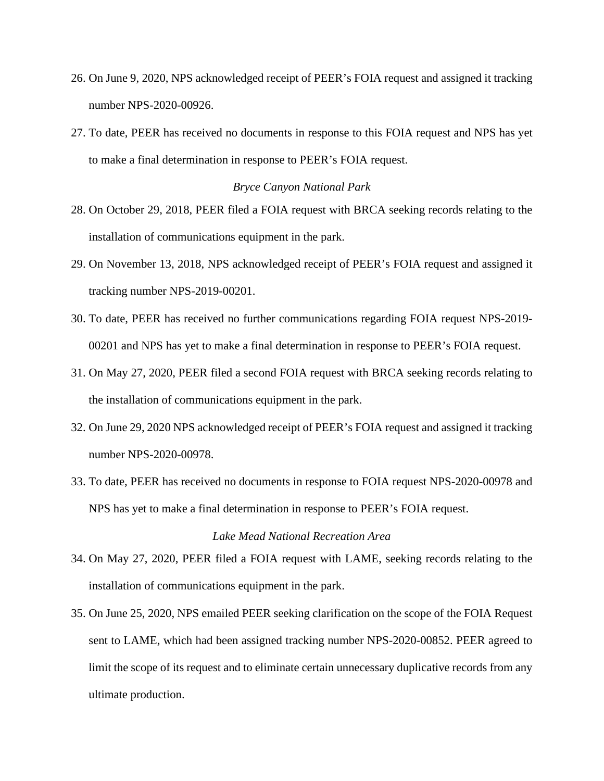- 26. On June 9, 2020, NPS acknowledged receipt of PEER's FOIA request and assigned it tracking number NPS-2020-00926.
- 27. To date, PEER has received no documents in response to this FOIA request and NPS has yet to make a final determination in response to PEER's FOIA request.

## *Bryce Canyon National Park*

- 28. On October 29, 2018, PEER filed a FOIA request with BRCA seeking records relating to the installation of communications equipment in the park.
- 29. On November 13, 2018, NPS acknowledged receipt of PEER's FOIA request and assigned it tracking number NPS-2019-00201.
- 30. To date, PEER has received no further communications regarding FOIA request NPS-2019- 00201 and NPS has yet to make a final determination in response to PEER's FOIA request.
- 31. On May 27, 2020, PEER filed a second FOIA request with BRCA seeking records relating to the installation of communications equipment in the park.
- 32. On June 29, 2020 NPS acknowledged receipt of PEER's FOIA request and assigned it tracking number NPS-2020-00978.
- 33. To date, PEER has received no documents in response to FOIA request NPS-2020-00978 and NPS has yet to make a final determination in response to PEER's FOIA request.

# *Lake Mead National Recreation Area*

- 34. On May 27, 2020, PEER filed a FOIA request with LAME, seeking records relating to the installation of communications equipment in the park.
- 35. On June 25, 2020, NPS emailed PEER seeking clarification on the scope of the FOIA Request sent to LAME, which had been assigned tracking number NPS-2020-00852. PEER agreed to limit the scope of its request and to eliminate certain unnecessary duplicative records from any ultimate production.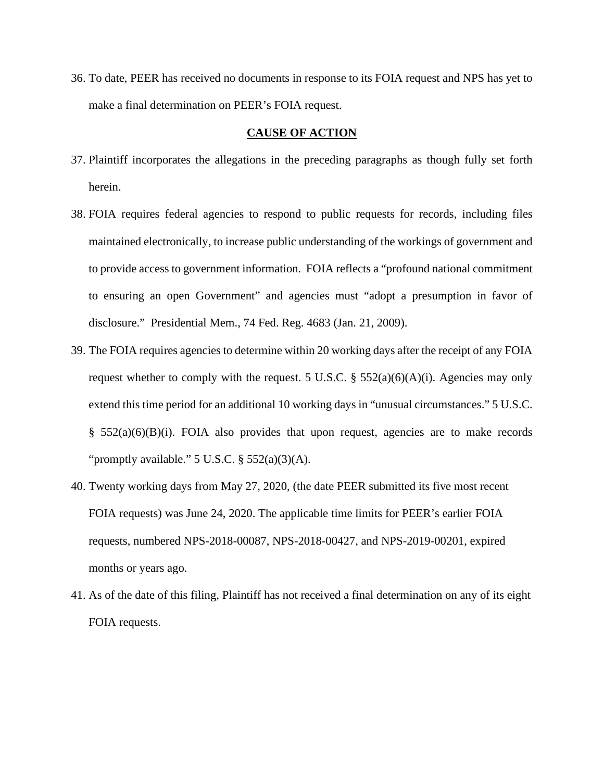36. To date, PEER has received no documents in response to its FOIA request and NPS has yet to make a final determination on PEER's FOIA request.

# **CAUSE OF ACTION**

- 37. Plaintiff incorporates the allegations in the preceding paragraphs as though fully set forth herein.
- 38. FOIA requires federal agencies to respond to public requests for records, including files maintained electronically, to increase public understanding of the workings of government and to provide access to government information. FOIA reflects a "profound national commitment to ensuring an open Government" and agencies must "adopt a presumption in favor of disclosure." Presidential Mem., 74 Fed. Reg. 4683 (Jan. 21, 2009).
- 39. The FOIA requires agencies to determine within 20 working days after the receipt of any FOIA request whether to comply with the request. 5 U.S.C.  $\S$  552(a)(6)(A)(i). Agencies may only extend this time period for an additional 10 working days in "unusual circumstances." 5 U.S.C.  $§$  552(a)(6)(B)(i). FOIA also provides that upon request, agencies are to make records "promptly available."  $5$  U.S.C.  $\S$   $552(a)(3)(A)$ .
- 40. Twenty working days from May 27, 2020, (the date PEER submitted its five most recent FOIA requests) was June 24, 2020. The applicable time limits for PEER's earlier FOIA requests, numbered NPS-2018-00087, NPS-2018-00427, and NPS-2019-00201, expired months or years ago.
- 41. As of the date of this filing, Plaintiff has not received a final determination on any of its eight FOIA requests.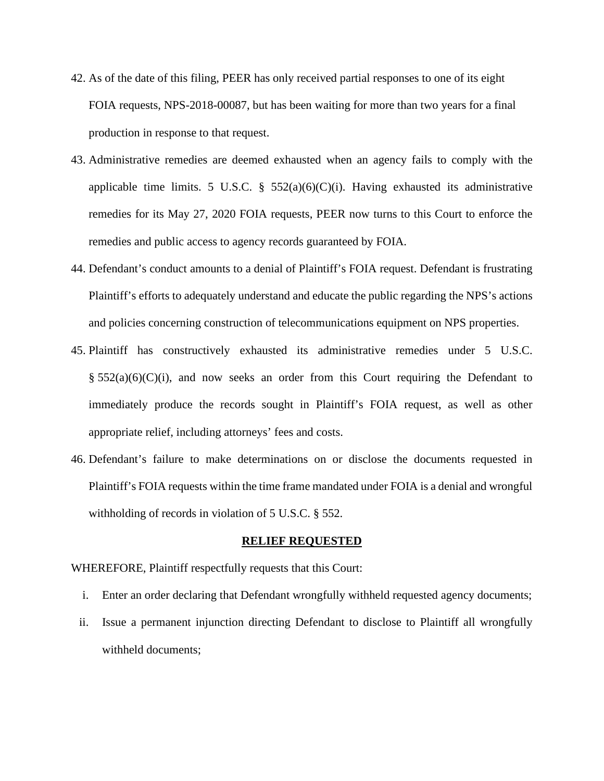- 42. As of the date of this filing, PEER has only received partial responses to one of its eight FOIA requests, NPS-2018-00087, but has been waiting for more than two years for a final production in response to that request.
- 43. Administrative remedies are deemed exhausted when an agency fails to comply with the applicable time limits. 5 U.S.C. §  $552(a)(6)(C)(i)$ . Having exhausted its administrative remedies for its May 27, 2020 FOIA requests, PEER now turns to this Court to enforce the remedies and public access to agency records guaranteed by FOIA.
- 44. Defendant's conduct amounts to a denial of Plaintiff's FOIA request. Defendant is frustrating Plaintiff's efforts to adequately understand and educate the public regarding the NPS's actions and policies concerning construction of telecommunications equipment on NPS properties.
- 45. Plaintiff has constructively exhausted its administrative remedies under 5 U.S.C.  $\S$  552(a)(6)(C)(i), and now seeks an order from this Court requiring the Defendant to immediately produce the records sought in Plaintiff's FOIA request, as well as other appropriate relief, including attorneys' fees and costs.
- 46. Defendant's failure to make determinations on or disclose the documents requested in Plaintiff's FOIA requests within the time frame mandated under FOIA is a denial and wrongful withholding of records in violation of 5 U.S.C. § 552.

#### **RELIEF REQUESTED**

WHEREFORE, Plaintiff respectfully requests that this Court:

- i. Enter an order declaring that Defendant wrongfully withheld requested agency documents;
- ii. Issue a permanent injunction directing Defendant to disclose to Plaintiff all wrongfully withheld documents;